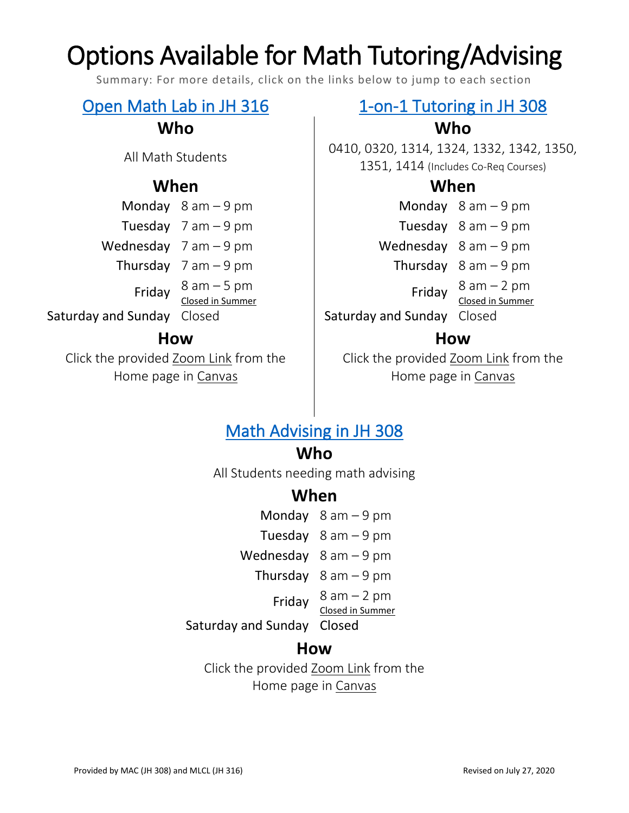# Options Available for Math Tutoring/Advising

Summary: For more details, click on the links below to jump to each section

## **When When**

|                   | Monday $8$ am $-9$ pm    |
|-------------------|--------------------------|
|                   | Tuesday $7$ am $-9$ pm   |
|                   | Wednesday $7$ am $-9$ pm |
|                   | Thursday $7$ am $-9$ pm  |
| Friday            | $8 am - 5 pm$            |
|                   | Closed in Summer         |
| تملح وزراء المعرو | $C_1$ and $C_2$          |

### **How How**

Click the provided Zoom Link from the Home page in Canvas

### [Open Math Lab in JH 316](#page-0-0) 1-on-1 Tutoring in JH 308

## **Who Who**

All Math Students 1988 | 0410, 0320, 1314, 1324, 1332, 1342, 1350, 1351, 1414 (Includes Co-Req Courses)

Monday  $8$  am  $-9$  pm

- Tuesday  $8$  am 9 pm
- Wednesday  $8$  am 9 pm
	- Thursday  $8$  am 9 pm
		- Friday  $8$  am  $-2$  pm
			- Closed in Summer

Saturday and Sunday Closed Saturday and Sunday Closed

Click the provided Zoom Link from the Home page in Canvas

## [Math Advising in JH 308](#page-1-1)

## **Who**

All Students needing math advising

## **When**

Monday 8 am – 9 pm Tuesday  $8$  am  $-9$  pm Wednesday 8 am – 9 pm Thursday  $8$  am  $-9$  pm Friday  $8$  am  $-2$  pm Closed in Summer Saturday and Sunday Closed

### **How**

<span id="page-0-0"></span>Click the provided Zoom Link from the Home page in Canvas